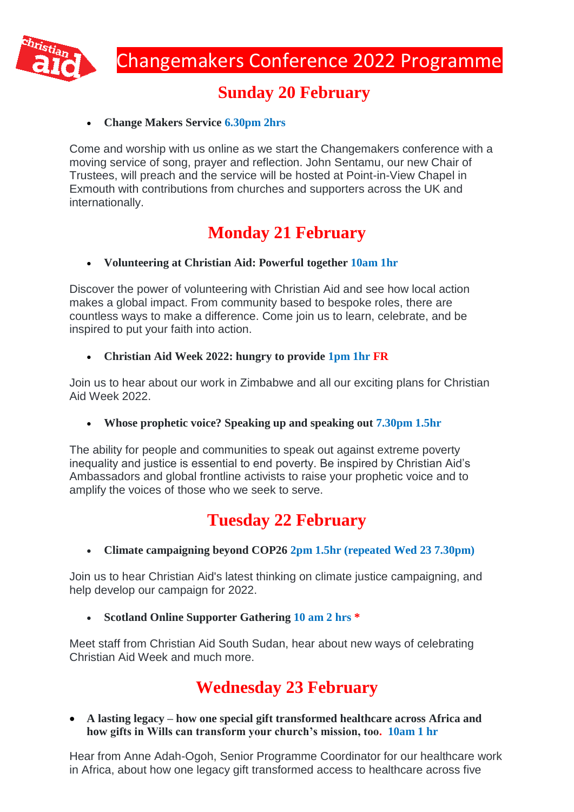

### **Sunday 20 February**

### **Change Makers Service 6.30pm 2hrs**

Come and worship with us online as we start the Changemakers conference with a moving service of song, prayer and reflection. John Sentamu, our new Chair of Trustees, will preach and the service will be hosted at Point-in-View Chapel in Exmouth with contributions from churches and supporters across the UK and internationally.

# **Monday 21 February**

### **Volunteering at Christian Aid: Powerful together 10am 1hr**

Discover the power of volunteering with Christian Aid and see how local action makes a global impact. From community based to bespoke roles, there are countless ways to make a difference. Come join us to learn, celebrate, and be inspired to put your faith into action.

#### **Christian Aid Week 2022: hungry to provide 1pm 1hr FR**

Join us to hear about our work in Zimbabwe and all our exciting plans for Christian Aid Week 2022.

**Whose prophetic voice? Speaking up and speaking out 7.30pm 1.5hr**

The ability for people and communities to speak out against extreme poverty inequality and justice is essential to end poverty. Be inspired by Christian Aid's Ambassadors and global frontline activists to raise your prophetic voice and to amplify the voices of those who we seek to serve.

# **Tuesday 22 February**

**Climate campaigning beyond COP26 2pm 1.5hr (repeated Wed 23 7.30pm)**

Join us to hear Christian Aid's latest thinking on climate justice campaigning, and help develop our campaign for 2022.

**Scotland Online Supporter Gathering 10 am 2 hrs \***

Meet staff from Christian Aid South Sudan, hear about new ways of celebrating Christian Aid Week and much more.

# **Wednesday 23 February**

 **A lasting legacy – how one special gift transformed healthcare across Africa and how gifts in Wills can transform your church's mission, too. 10am 1 hr** 

Hear from Anne Adah-Ogoh, Senior Programme Coordinator for our healthcare work in Africa, about how one legacy gift transformed access to healthcare across five